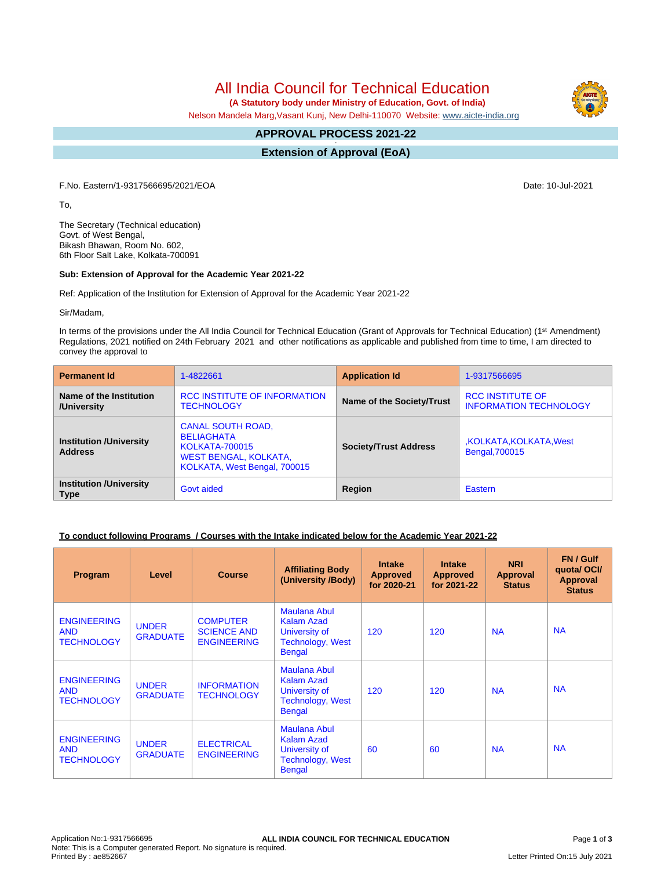# All India Council for Technical Education

 **(A Statutory body under Ministry of Education, Govt. of India)**

Nelson Mandela Marg,Vasant Kunj, New Delhi-110070 Website: [www.aicte-india.org](http://www.aicte-india.org)

#### **APPROVAL PROCESS 2021-22 -**

**Extension of Approval (EoA)**

F.No. Eastern/1-9317566695/2021/EOA Date: 10-Jul-2021

To,

The Secretary (Technical education) Govt. of West Bengal, Bikash Bhawan, Room No. 602, 6th Floor Salt Lake, Kolkata-700091

### **Sub: Extension of Approval for the Academic Year 2021-22**

Ref: Application of the Institution for Extension of Approval for the Academic Year 2021-22

Sir/Madam,

In terms of the provisions under the All India Council for Technical Education (Grant of Approvals for Technical Education) (1<sup>st</sup> Amendment) Regulations, 2021 notified on 24th February 2021 and other notifications as applicable and published from time to time, I am directed to convey the approval to

| <b>Permanent Id</b>                              | 1-4822661                                                                                                                       | <b>Application Id</b>        | 1-9317566695                                             |  |
|--------------------------------------------------|---------------------------------------------------------------------------------------------------------------------------------|------------------------------|----------------------------------------------------------|--|
| Name of the Institution<br>/University           | RCC INSTITUTE OF INFORMATION<br><b>TECHNOLOGY</b>                                                                               | Name of the Society/Trust    | <b>RCC INSTITUTE OF</b><br><b>INFORMATION TECHNOLOGY</b> |  |
| <b>Institution /University</b><br><b>Address</b> | <b>CANAL SOUTH ROAD,</b><br><b>BELIAGHATA</b><br><b>KOLKATA-700015</b><br>WEST BENGAL, KOLKATA,<br>KOLKATA, West Bengal, 700015 | <b>Society/Trust Address</b> | KOLKATA, KOLKATA, West,<br>Bengal, 700015                |  |
| <b>Institution /University</b><br><b>Type</b>    | Govt aided                                                                                                                      | Region                       | Eastern                                                  |  |

### **To conduct following Programs / Courses with the Intake indicated below for the Academic Year 2021-22**

| Program                                               | Level                           | <b>Course</b>                                               | <b>Affiliating Body</b><br>(University /Body)                                                         | <b>Intake</b><br><b>Approved</b><br>for 2020-21 | <b>Intake</b><br><b>Approved</b><br>for 2021-22 | <b>NRI</b><br><b>Approval</b><br><b>Status</b> | FN / Gulf<br>quotal OCI/<br><b>Approval</b><br><b>Status</b> |
|-------------------------------------------------------|---------------------------------|-------------------------------------------------------------|-------------------------------------------------------------------------------------------------------|-------------------------------------------------|-------------------------------------------------|------------------------------------------------|--------------------------------------------------------------|
| <b>ENGINEERING</b><br><b>AND</b><br><b>TECHNOLOGY</b> | <b>UNDER</b><br><b>GRADUATE</b> | <b>COMPUTER</b><br><b>SCIENCE AND</b><br><b>ENGINEERING</b> | Maulana Abul<br>Kalam Azad<br>University of<br><b>Technology, West</b><br><b>Bengal</b>               | 120                                             | 120                                             | <b>NA</b>                                      | <b>NA</b>                                                    |
| <b>ENGINEERING</b><br><b>AND</b><br><b>TECHNOLOGY</b> | <b>UNDER</b><br><b>GRADUATE</b> | <b>INFORMATION</b><br><b>TECHNOLOGY</b>                     | <b>Maulana Abul</b><br><b>Kalam Azad</b><br>University of<br><b>Technology, West</b><br><b>Bengal</b> | 120                                             | 120                                             | <b>NA</b>                                      | <b>NA</b>                                                    |
| <b>ENGINEERING</b><br><b>AND</b><br><b>TECHNOLOGY</b> | <b>UNDER</b><br><b>GRADUATE</b> | <b>ELECTRICAL</b><br><b>ENGINEERING</b>                     | Maulana Abul<br><b>Kalam Azad</b><br>University of<br><b>Technology, West</b><br><b>Bengal</b>        | 60                                              | 60                                              | <b>NA</b>                                      | <b>NA</b>                                                    |

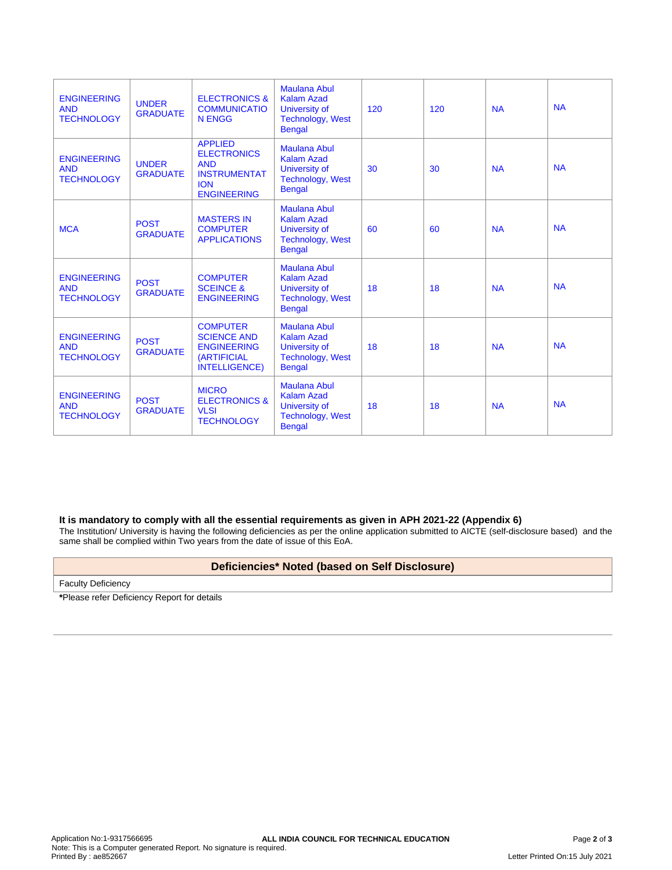| <b>ENGINEERING</b><br><b>AND</b><br><b>TECHNOLOGY</b> | <b>UNDER</b><br><b>GRADUATE</b> | <b>ELECTRONICS &amp;</b><br><b>COMMUNICATIO</b><br><b>N ENGG</b>                                              | <b>Maulana Abul</b><br><b>Kalam Azad</b><br>University of<br><b>Technology, West</b><br><b>Bengal</b>        | 120 | 120 | <b>NA</b> | <b>NA</b> |
|-------------------------------------------------------|---------------------------------|---------------------------------------------------------------------------------------------------------------|--------------------------------------------------------------------------------------------------------------|-----|-----|-----------|-----------|
| <b>ENGINEERING</b><br><b>AND</b><br><b>TECHNOLOGY</b> | <b>UNDER</b><br><b>GRADUATE</b> | <b>APPLIED</b><br><b>ELECTRONICS</b><br><b>AND</b><br><b>INSTRUMENTAT</b><br><b>ION</b><br><b>ENGINEERING</b> | <b>Maulana Abul</b><br><b>Kalam Azad</b><br>University of<br>Technology, West<br><b>Bengal</b>               | 30  | 30  | <b>NA</b> | <b>NA</b> |
| <b>MCA</b>                                            | <b>POST</b><br><b>GRADUATE</b>  | <b>MASTERS IN</b><br><b>COMPUTER</b><br><b>APPLICATIONS</b>                                                   | <b>Maulana Abul</b><br><b>Kalam Azad</b><br>University of<br><b>Technology, West</b><br><b>Bengal</b>        | 60  | 60  | <b>NA</b> | <b>NA</b> |
| <b>ENGINEERING</b><br><b>AND</b><br><b>TECHNOLOGY</b> | <b>POST</b><br><b>GRADUATE</b>  | <b>COMPUTER</b><br><b>SCEINCE &amp;</b><br><b>ENGINEERING</b>                                                 | <b>Maulana Abul</b><br><b>Kalam Azad</b><br><b>University of</b><br><b>Technology, West</b><br><b>Bengal</b> | 18  | 18  | <b>NA</b> | <b>NA</b> |
| <b>ENGINEERING</b><br><b>AND</b><br><b>TECHNOLOGY</b> | <b>POST</b><br><b>GRADUATE</b>  | <b>COMPUTER</b><br><b>SCIENCE AND</b><br><b>ENGINEERING</b><br><b>(ARTIFICIAL</b><br><b>INTELLIGENCE)</b>     | <b>Maulana Abul</b><br>Kalam Azad<br>University of<br><b>Technology, West</b><br><b>Bengal</b>               | 18  | 18  | <b>NA</b> | <b>NA</b> |
| <b>ENGINEERING</b><br><b>AND</b><br><b>TECHNOLOGY</b> | <b>POST</b><br><b>GRADUATE</b>  | <b>MICRO</b><br><b>ELECTRONICS &amp;</b><br><b>VLSI</b><br><b>TECHNOLOGY</b>                                  | <b>Maulana Abul</b><br><b>Kalam Azad</b><br>University of<br><b>Technology, West</b><br><b>Bengal</b>        | 18  | 18  | <b>NA</b> | <b>NA</b> |

### **It is mandatory to comply with all the essential requirements as given in APH 2021-22 (Appendix 6)**

The Institution/ University is having the following deficiencies as per the online application submitted to AICTE (self-disclosure based) and the same shall be complied within Two years from the date of issue of this EoA.

### **Deficiencies\* Noted (based on Self Disclosure)**

Faculty Deficiency

**\***Please refer Deficiency Report for details